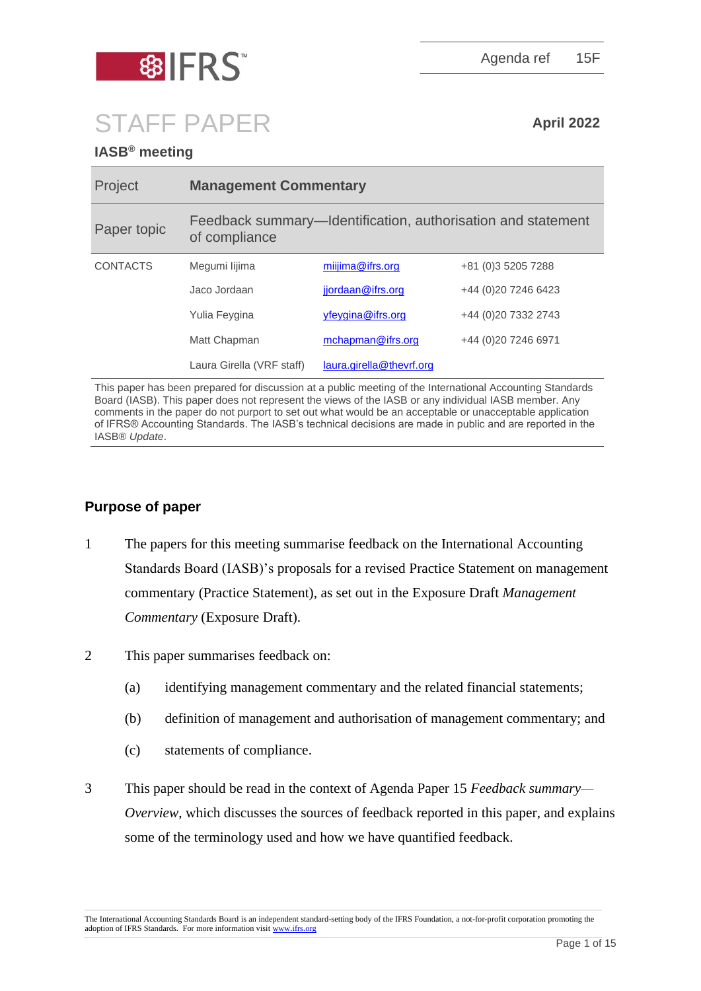

Agenda ref 15F

# STAFF PAPER **April 2022**

# **IASB® meeting**

| Project         | <b>Management Commentary</b>                                                  |                          |                       |
|-----------------|-------------------------------------------------------------------------------|--------------------------|-----------------------|
| Paper topic     | Feedback summary—Identification, authorisation and statement<br>of compliance |                          |                       |
| <b>CONTACTS</b> | Megumi lijima                                                                 | $miiima@$ if rs.org      | +81 (0) 3 5 205 7 288 |
|                 | Jaco Jordaan                                                                  | jjordaan@ifrs.org        | +44 (0) 20 7246 6423  |
|                 | Yulia Feygina                                                                 | yfeygina@ifrs.org        | +44 (0)20 7332 2743   |
|                 | Matt Chapman                                                                  | mchapman@ifrs.org        | +44 (0)20 7246 6971   |
|                 | Laura Girella (VRF staff)                                                     | laura.girella@thevrf.org |                       |

This paper has been prepared for discussion at a public meeting of the International Accounting Standards Board (IASB). This paper does not represent the views of the IASB or any individual IASB member. Any comments in the paper do not purport to set out what would be an acceptable or unacceptable application of IFRS® Accounting Standards. The IASB's technical decisions are made in public and are reported in the IASB® *Update*.

# **Purpose of paper**

- 1 The papers for this meeting summarise feedback on the International Accounting Standards Board (IASB)'s proposals for a revised Practice Statement on management commentary (Practice Statement), as set out in the Exposure Draft *Management Commentary* (Exposure Draft).
- 2 This paper summarises feedback on:
	- (a) identifying management commentary and the related financial statements;
	- (b) definition of management and authorisation of management commentary; and
	- (c) statements of compliance.
- 3 This paper should be read in the context of Agenda Paper 15 *Feedback summary— Overview*, which discusses the sources of feedback reported in this paper, and explains some of the terminology used and how we have quantified feedback.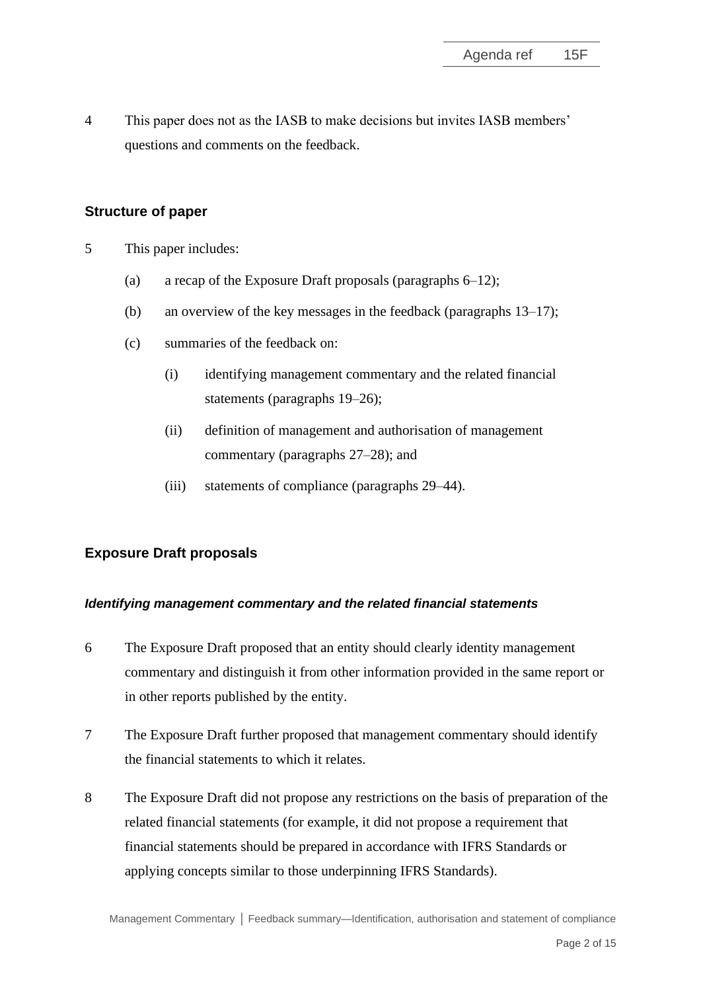4 This paper does not as the IASB to make decisions but invites IASB members' questions and comments on the feedback.

# **Structure of paper**

- 5 This paper includes:
	- (a) a recap of the Exposure Draft proposals (paragraphs 6–12);
	- (b) an overview of the key messages in the feedback (paragraphs 13–17);
	- (c) summaries of the feedback on:
		- (i) identifying management commentary and the related financial statements (paragraphs 19–26);
		- (ii) definition of management and authorisation of management commentary (paragraphs 27–28); and
		- (iii) statements of compliance (paragraphs 29–44).

# **Exposure Draft proposals**

#### *Identifying management commentary and the related financial statements*

- 6 The Exposure Draft proposed that an entity should clearly identity management commentary and distinguish it from other information provided in the same report or in other reports published by the entity.
- 7 The Exposure Draft further proposed that management commentary should identify the financial statements to which it relates.
- 8 The Exposure Draft did not propose any restrictions on the basis of preparation of the related financial statements (for example, it did not propose a requirement that financial statements should be prepared in accordance with IFRS Standards or applying concepts similar to those underpinning IFRS Standards).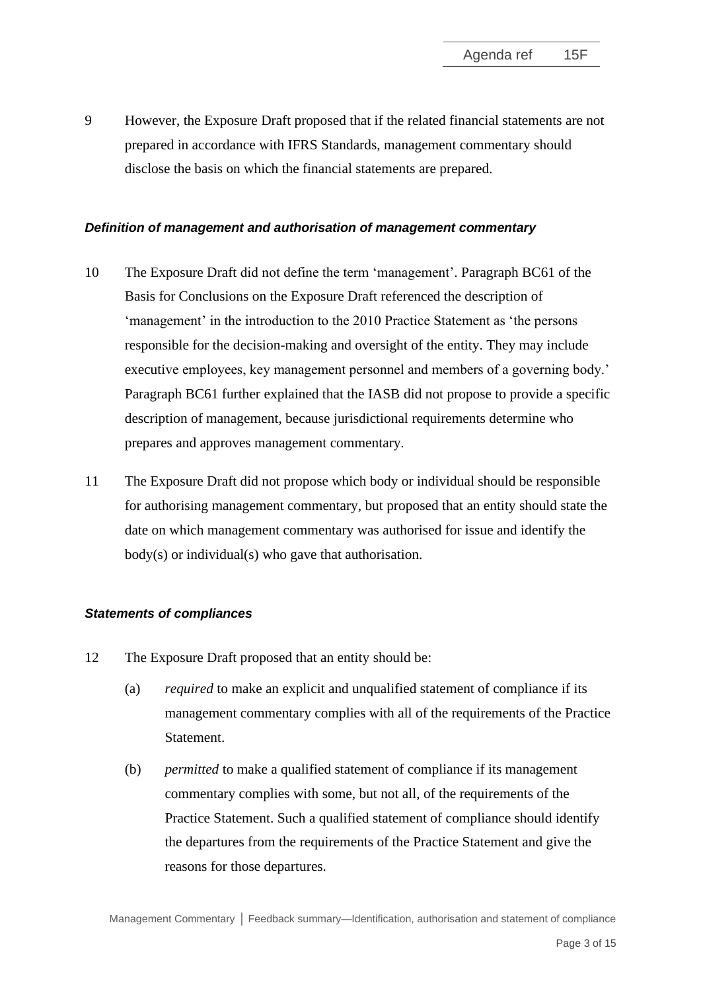9 However, the Exposure Draft proposed that if the related financial statements are not prepared in accordance with IFRS Standards, management commentary should disclose the basis on which the financial statements are prepared.

#### *Definition of management and authorisation of management commentary*

- 10 The Exposure Draft did not define the term 'management'. Paragraph BC61 of the Basis for Conclusions on the Exposure Draft referenced the description of 'management' in the introduction to the 2010 Practice Statement as 'the persons responsible for the decision-making and oversight of the entity. They may include executive employees, key management personnel and members of a governing body.' Paragraph BC61 further explained that the IASB did not propose to provide a specific description of management, because jurisdictional requirements determine who prepares and approves management commentary.
- 11 The Exposure Draft did not propose which body or individual should be responsible for authorising management commentary, but proposed that an entity should state the date on which management commentary was authorised for issue and identify the body(s) or individual(s) who gave that authorisation.

# *Statements of compliances*

- 12 The Exposure Draft proposed that an entity should be:
	- (a) *required* to make an explicit and unqualified statement of compliance if its management commentary complies with all of the requirements of the Practice **Statement**
	- (b) *permitted* to make a qualified statement of compliance if its management commentary complies with some, but not all, of the requirements of the Practice Statement. Such a qualified statement of compliance should identify the departures from the requirements of the Practice Statement and give the reasons for those departures.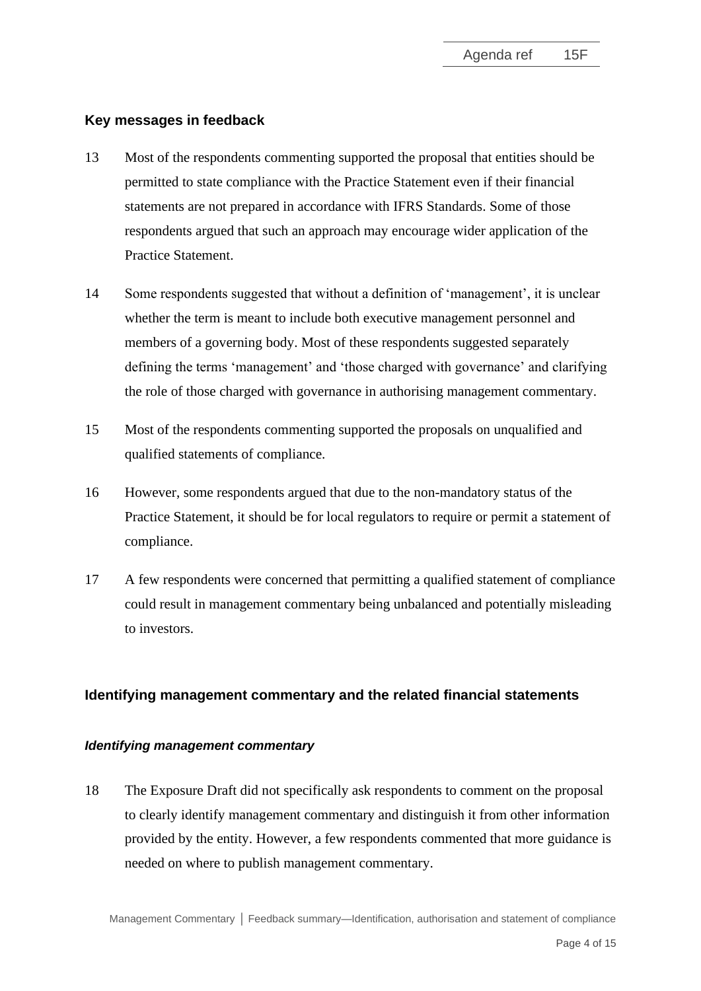# **Key messages in feedback**

- 13 Most of the respondents commenting supported the proposal that entities should be permitted to state compliance with the Practice Statement even if their financial statements are not prepared in accordance with IFRS Standards. Some of those respondents argued that such an approach may encourage wider application of the Practice Statement.
- 14 Some respondents suggested that without a definition of 'management', it is unclear whether the term is meant to include both executive management personnel and members of a governing body. Most of these respondents suggested separately defining the terms 'management' and 'those charged with governance' and clarifying the role of those charged with governance in authorising management commentary.
- 15 Most of the respondents commenting supported the proposals on unqualified and qualified statements of compliance.
- 16 However, some respondents argued that due to the non-mandatory status of the Practice Statement, it should be for local regulators to require or permit a statement of compliance.
- 17 A few respondents were concerned that permitting a qualified statement of compliance could result in management commentary being unbalanced and potentially misleading to investors.

# **Identifying management commentary and the related financial statements**

# *Identifying management commentary*

18 The Exposure Draft did not specifically ask respondents to comment on the proposal to clearly identify management commentary and distinguish it from other information provided by the entity. However, a few respondents commented that more guidance is needed on where to publish management commentary.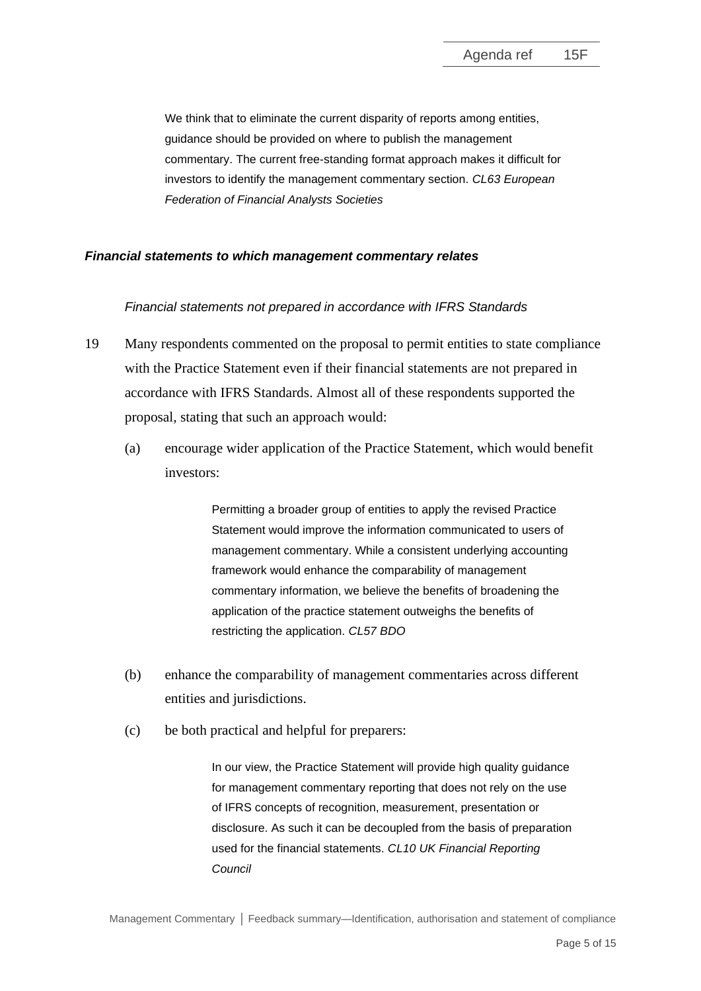We think that to eliminate the current disparity of reports among entities, guidance should be provided on where to publish the management commentary. The current free-standing format approach makes it difficult for investors to identify the management commentary section. *CL63 European Federation of Financial Analysts Societies*

#### *Financial statements to which management commentary relates*

#### *Financial statements not prepared in accordance with IFRS Standards*

- 19 Many respondents commented on the proposal to permit entities to state compliance with the Practice Statement even if their financial statements are not prepared in accordance with IFRS Standards. Almost all of these respondents supported the proposal, stating that such an approach would:
	- (a) encourage wider application of the Practice Statement, which would benefit investors:

Permitting a broader group of entities to apply the revised Practice Statement would improve the information communicated to users of management commentary. While a consistent underlying accounting framework would enhance the comparability of management commentary information, we believe the benefits of broadening the application of the practice statement outweighs the benefits of restricting the application. *CL57 BDO*

- (b) enhance the comparability of management commentaries across different entities and jurisdictions.
- (c) be both practical and helpful for preparers:

In our view, the Practice Statement will provide high quality guidance for management commentary reporting that does not rely on the use of IFRS concepts of recognition, measurement, presentation or disclosure. As such it can be decoupled from the basis of preparation used for the financial statements. *CL10 UK Financial Reporting Council*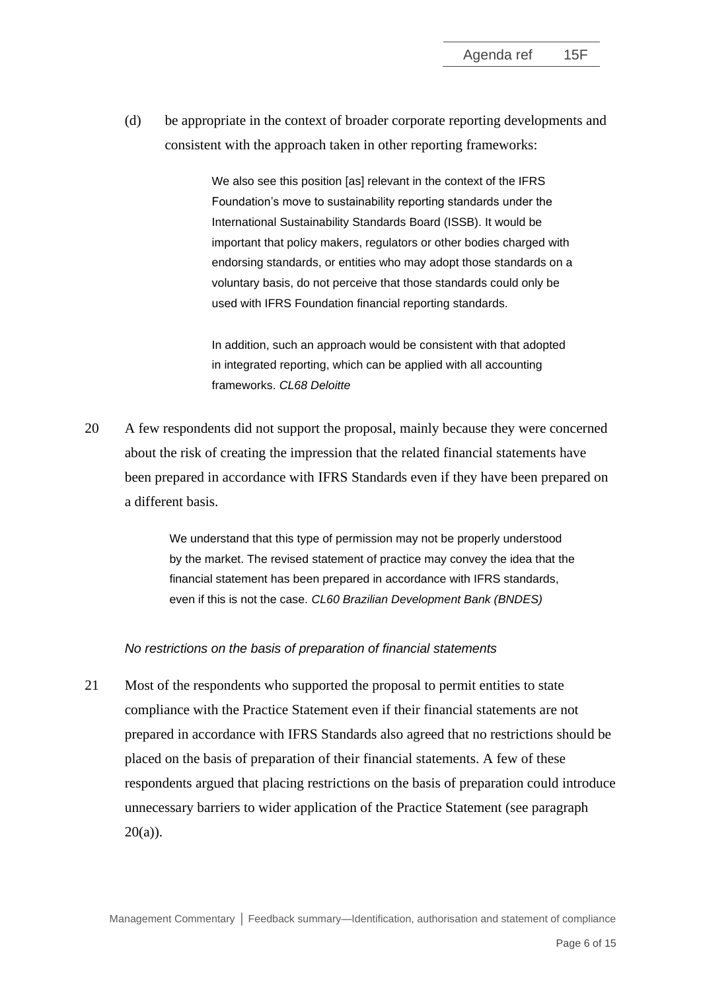(d) be appropriate in the context of broader corporate reporting developments and consistent with the approach taken in other reporting frameworks:

> We also see this position [as] relevant in the context of the IFRS Foundation's move to sustainability reporting standards under the International Sustainability Standards Board (ISSB). It would be important that policy makers, regulators or other bodies charged with endorsing standards, or entities who may adopt those standards on a voluntary basis, do not perceive that those standards could only be used with IFRS Foundation financial reporting standards.

In addition, such an approach would be consistent with that adopted in integrated reporting, which can be applied with all accounting frameworks. *CL68 Deloitte*

20 A few respondents did not support the proposal, mainly because they were concerned about the risk of creating the impression that the related financial statements have been prepared in accordance with IFRS Standards even if they have been prepared on a different basis.

> We understand that this type of permission may not be properly understood by the market. The revised statement of practice may convey the idea that the financial statement has been prepared in accordance with IFRS standards, even if this is not the case. *CL60 Brazilian Development Bank (BNDES)*

#### *No restrictions on the basis of preparation of financial statements*

21 Most of the respondents who supported the proposal to permit entities to state compliance with the Practice Statement even if their financial statements are not prepared in accordance with IFRS Standards also agreed that no restrictions should be placed on the basis of preparation of their financial statements. A few of these respondents argued that placing restrictions on the basis of preparation could introduce unnecessary barriers to wider application of the Practice Statement (see paragraph 20(a)).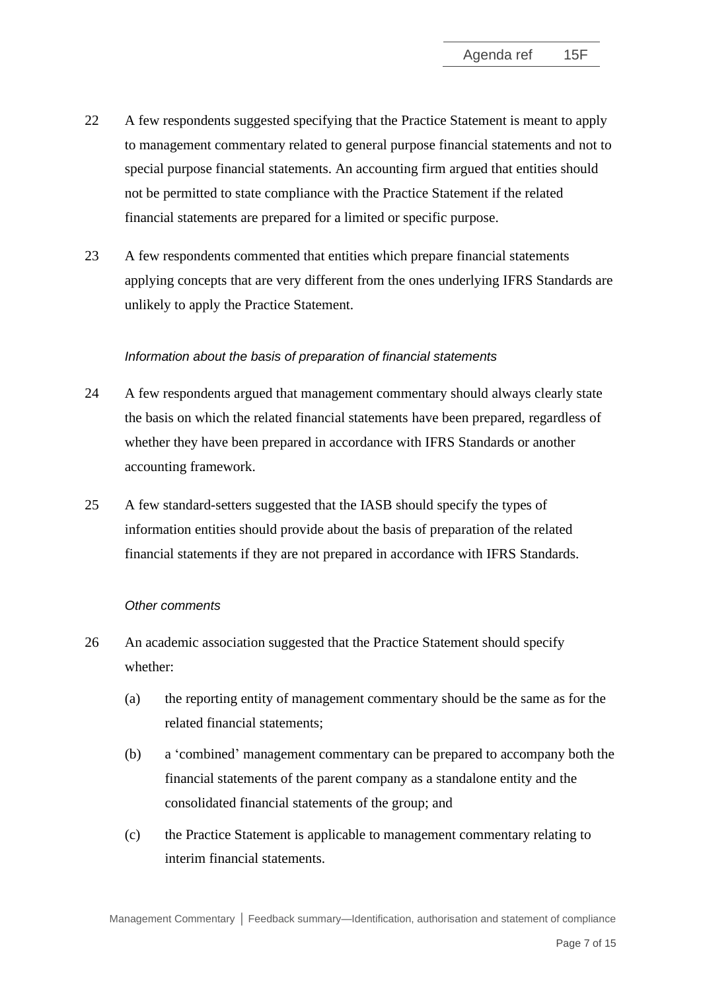- 22 A few respondents suggested specifying that the Practice Statement is meant to apply to management commentary related to general purpose financial statements and not to special purpose financial statements. An accounting firm argued that entities should not be permitted to state compliance with the Practice Statement if the related financial statements are prepared for a limited or specific purpose.
- 23 A few respondents commented that entities which prepare financial statements applying concepts that are very different from the ones underlying IFRS Standards are unlikely to apply the Practice Statement.

#### *Information about the basis of preparation of financial statements*

- 24 A few respondents argued that management commentary should always clearly state the basis on which the related financial statements have been prepared, regardless of whether they have been prepared in accordance with IFRS Standards or another accounting framework.
- 25 A few standard-setters suggested that the IASB should specify the types of information entities should provide about the basis of preparation of the related financial statements if they are not prepared in accordance with IFRS Standards.

#### *Other comments*

- 26 An academic association suggested that the Practice Statement should specify whether:
	- (a) the reporting entity of management commentary should be the same as for the related financial statements;
	- (b) a 'combined' management commentary can be prepared to accompany both the financial statements of the parent company as a standalone entity and the consolidated financial statements of the group; and
	- (c) the Practice Statement is applicable to management commentary relating to interim financial statements.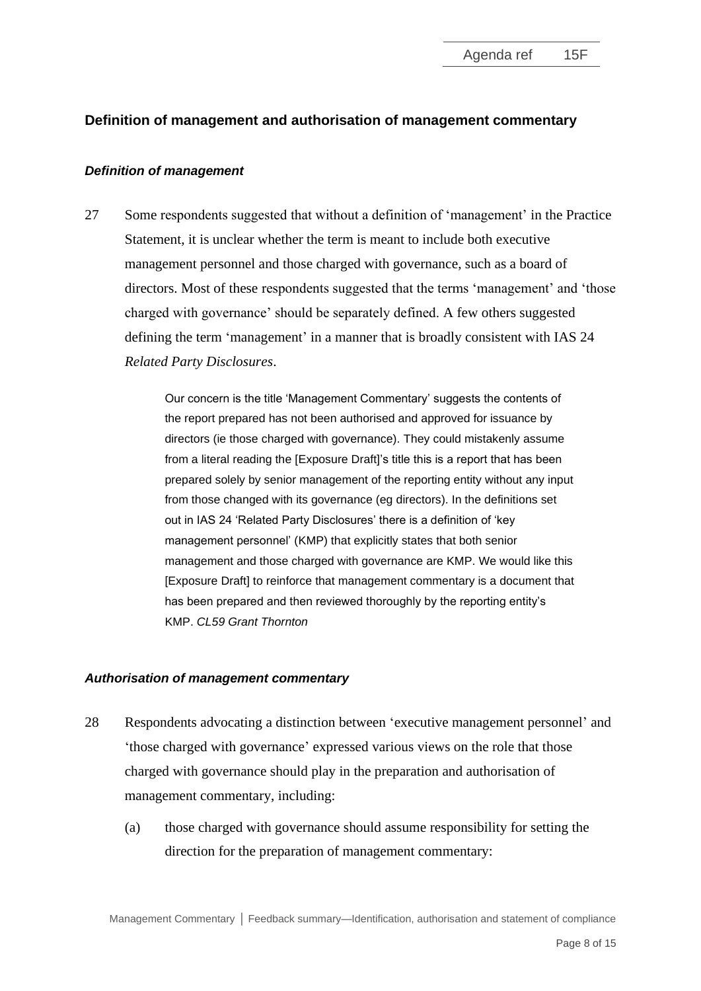# **Definition of management and authorisation of management commentary**

#### *Definition of management*

27 Some respondents suggested that without a definition of 'management' in the Practice Statement, it is unclear whether the term is meant to include both executive management personnel and those charged with governance, such as a board of directors. Most of these respondents suggested that the terms 'management' and 'those charged with governance' should be separately defined. A few others suggested defining the term 'management' in a manner that is broadly consistent with IAS 24 *Related Party Disclosures*.

> Our concern is the title 'Management Commentary' suggests the contents of the report prepared has not been authorised and approved for issuance by directors (ie those charged with governance). They could mistakenly assume from a literal reading the [Exposure Draft]'s title this is a report that has been prepared solely by senior management of the reporting entity without any input from those changed with its governance (eg directors). In the definitions set out in IAS 24 'Related Party Disclosures' there is a definition of 'key management personnel' (KMP) that explicitly states that both senior management and those charged with governance are KMP. We would like this [Exposure Draft] to reinforce that management commentary is a document that has been prepared and then reviewed thoroughly by the reporting entity's KMP. *CL59 Grant Thornton*

#### *Authorisation of management commentary*

- 28 Respondents advocating a distinction between 'executive management personnel' and 'those charged with governance' expressed various views on the role that those charged with governance should play in the preparation and authorisation of management commentary, including:
	- (a) those charged with governance should assume responsibility for setting the direction for the preparation of management commentary: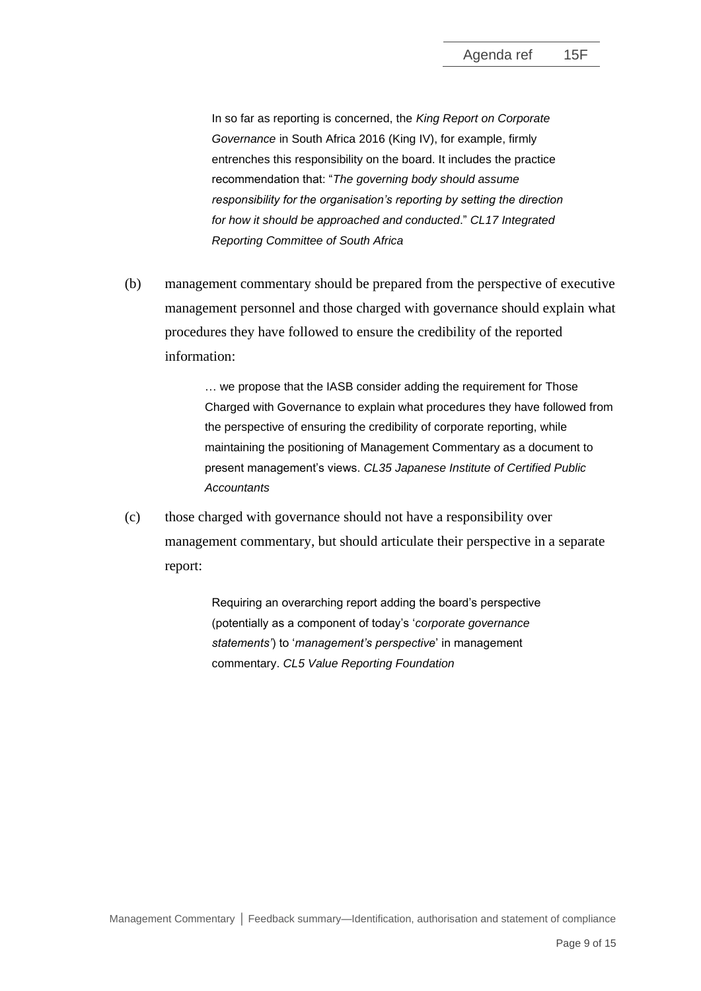In so far as reporting is concerned, the *King Report on Corporate Governance* in South Africa 2016 (King IV), for example, firmly entrenches this responsibility on the board. It includes the practice recommendation that: "*The governing body should assume responsibility for the organisation's reporting by setting the direction for how it should be approached and conducted*." *CL17 Integrated Reporting Committee of South Africa*

(b) management commentary should be prepared from the perspective of executive management personnel and those charged with governance should explain what procedures they have followed to ensure the credibility of the reported information:

> … we propose that the IASB consider adding the requirement for Those Charged with Governance to explain what procedures they have followed from the perspective of ensuring the credibility of corporate reporting, while maintaining the positioning of Management Commentary as a document to present management's views. *CL35 Japanese Institute of Certified Public Accountants*

(c) those charged with governance should not have a responsibility over management commentary, but should articulate their perspective in a separate report:

> Requiring an overarching report adding the board's perspective (potentially as a component of today's '*corporate governance statements'*) to '*management's perspective*' in management commentary. *CL5 Value Reporting Foundation*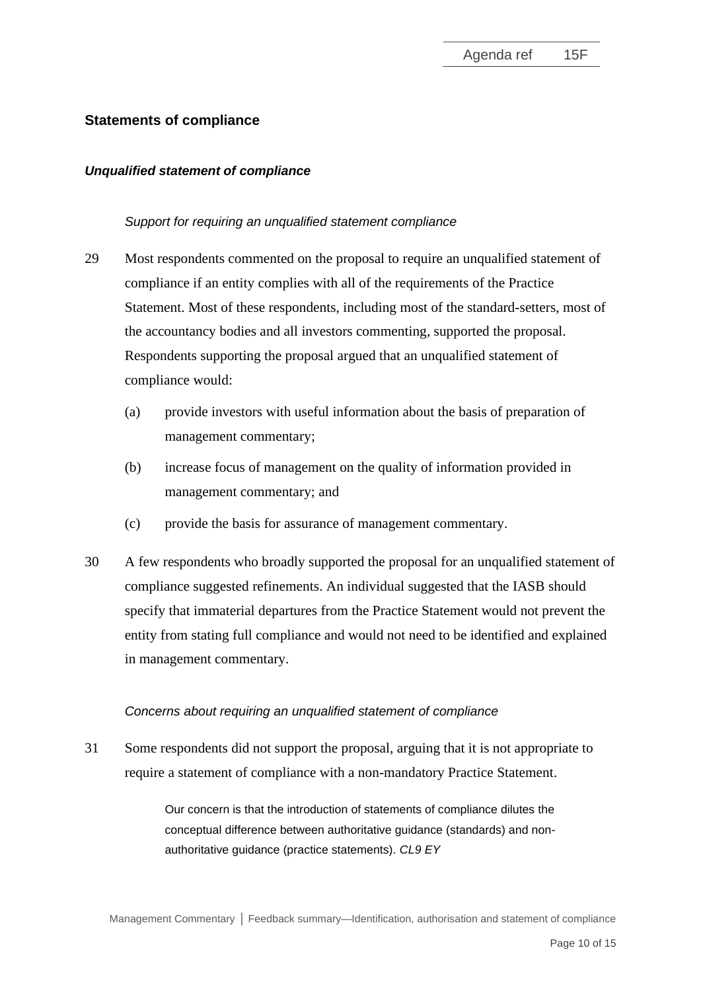# **Statements of compliance**

#### *Unqualified statement of compliance*

#### *Support for requiring an unqualified statement compliance*

- 29 Most respondents commented on the proposal to require an unqualified statement of compliance if an entity complies with all of the requirements of the Practice Statement. Most of these respondents, including most of the standard-setters, most of the accountancy bodies and all investors commenting, supported the proposal. Respondents supporting the proposal argued that an unqualified statement of compliance would:
	- (a) provide investors with useful information about the basis of preparation of management commentary;
	- (b) increase focus of management on the quality of information provided in management commentary; and
	- (c) provide the basis for assurance of management commentary.
- 30 A few respondents who broadly supported the proposal for an unqualified statement of compliance suggested refinements. An individual suggested that the IASB should specify that immaterial departures from the Practice Statement would not prevent the entity from stating full compliance and would not need to be identified and explained in management commentary.

#### *Concerns about requiring an unqualified statement of compliance*

31 Some respondents did not support the proposal, arguing that it is not appropriate to require a statement of compliance with a non-mandatory Practice Statement.

> Our concern is that the introduction of statements of compliance dilutes the conceptual difference between authoritative guidance (standards) and nonauthoritative guidance (practice statements). *CL9 EY*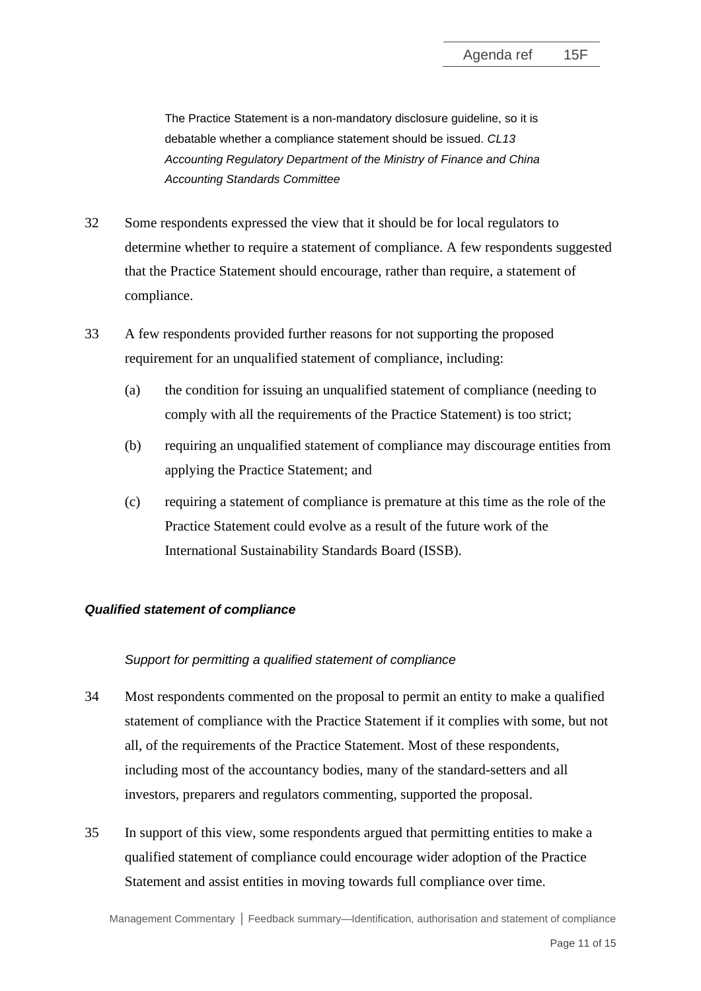The Practice Statement is a non-mandatory disclosure guideline, so it is debatable whether a compliance statement should be issued. *CL13 Accounting Regulatory Department of the Ministry of Finance and China Accounting Standards Committee*

- 32 Some respondents expressed the view that it should be for local regulators to determine whether to require a statement of compliance. A few respondents suggested that the Practice Statement should encourage, rather than require, a statement of compliance.
- 33 A few respondents provided further reasons for not supporting the proposed requirement for an unqualified statement of compliance, including:
	- (a) the condition for issuing an unqualified statement of compliance (needing to comply with all the requirements of the Practice Statement) is too strict;
	- (b) requiring an unqualified statement of compliance may discourage entities from applying the Practice Statement; and
	- (c) requiring a statement of compliance is premature at this time as the role of the Practice Statement could evolve as a result of the future work of the International Sustainability Standards Board (ISSB).

# *Qualified statement of compliance*

#### *Support for permitting a qualified statement of compliance*

- 34 Most respondents commented on the proposal to permit an entity to make a qualified statement of compliance with the Practice Statement if it complies with some, but not all, of the requirements of the Practice Statement. Most of these respondents, including most of the accountancy bodies, many of the standard-setters and all investors, preparers and regulators commenting, supported the proposal.
- 35 In support of this view, some respondents argued that permitting entities to make a qualified statement of compliance could encourage wider adoption of the Practice Statement and assist entities in moving towards full compliance over time.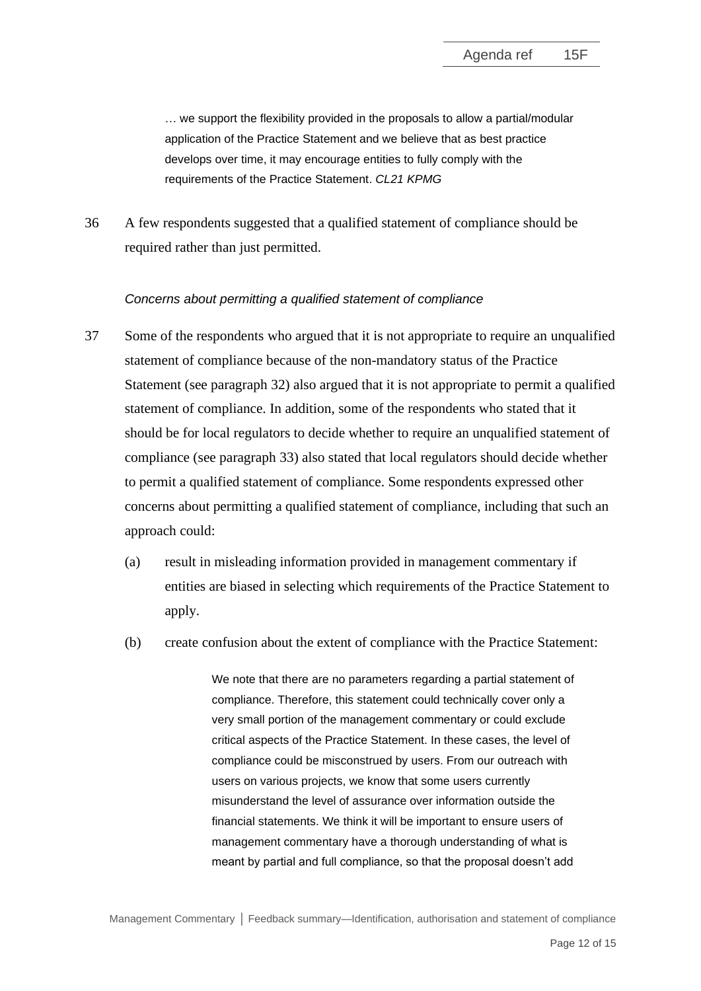… we support the flexibility provided in the proposals to allow a partial/modular application of the Practice Statement and we believe that as best practice develops over time, it may encourage entities to fully comply with the requirements of the Practice Statement. *CL21 KPMG*

36 A few respondents suggested that a qualified statement of compliance should be required rather than just permitted.

#### *Concerns about permitting a qualified statement of compliance*

- 37 Some of the respondents who argued that it is not appropriate to require an unqualified statement of compliance because of the non-mandatory status of the Practice Statement (see paragraph 32) also argued that it is not appropriate to permit a qualified statement of compliance. In addition, some of the respondents who stated that it should be for local regulators to decide whether to require an unqualified statement of compliance (see paragraph 33) also stated that local regulators should decide whether to permit a qualified statement of compliance. Some respondents expressed other concerns about permitting a qualified statement of compliance, including that such an approach could:
	- (a) result in misleading information provided in management commentary if entities are biased in selecting which requirements of the Practice Statement to apply.
	- (b) create confusion about the extent of compliance with the Practice Statement:

We note that there are no parameters regarding a partial statement of compliance. Therefore, this statement could technically cover only a very small portion of the management commentary or could exclude critical aspects of the Practice Statement. In these cases, the level of compliance could be misconstrued by users. From our outreach with users on various projects, we know that some users currently misunderstand the level of assurance over information outside the financial statements. We think it will be important to ensure users of management commentary have a thorough understanding of what is meant by partial and full compliance, so that the proposal doesn't add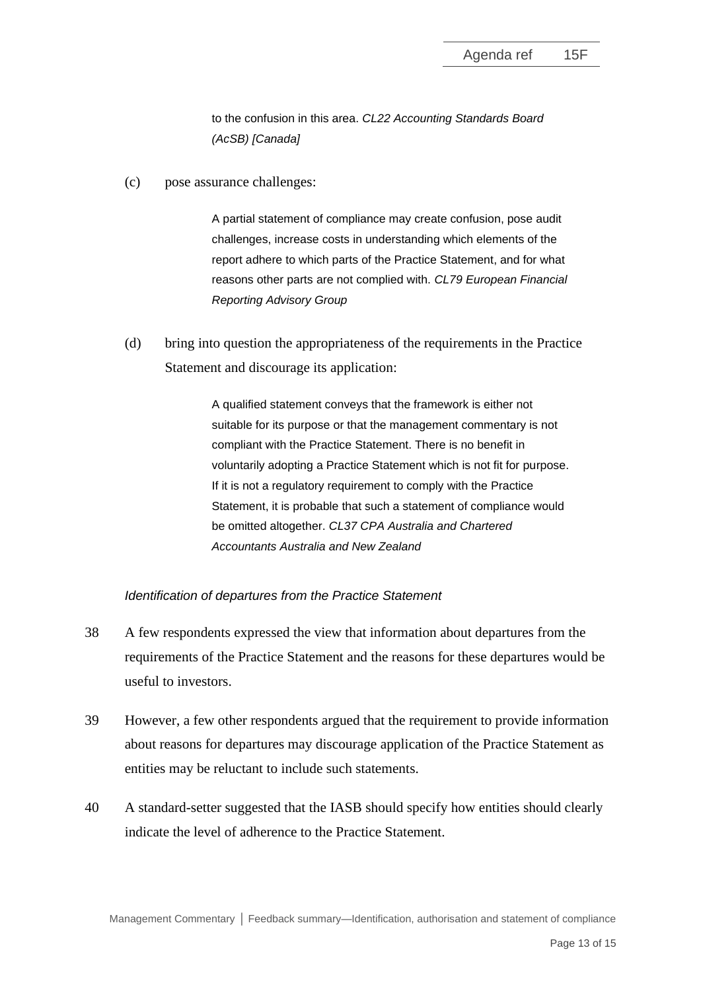to the confusion in this area. *CL22 Accounting Standards Board (AcSB) [Canada]*

(c) pose assurance challenges:

A partial statement of compliance may create confusion, pose audit challenges, increase costs in understanding which elements of the report adhere to which parts of the Practice Statement, and for what reasons other parts are not complied with. *CL79 European Financial Reporting Advisory Group*

(d) bring into question the appropriateness of the requirements in the Practice Statement and discourage its application:

> A qualified statement conveys that the framework is either not suitable for its purpose or that the management commentary is not compliant with the Practice Statement. There is no benefit in voluntarily adopting a Practice Statement which is not fit for purpose. If it is not a regulatory requirement to comply with the Practice Statement, it is probable that such a statement of compliance would be omitted altogether. *CL37 CPA Australia and Chartered Accountants Australia and New Zealand*

#### *Identification of departures from the Practice Statement*

- 38 A few respondents expressed the view that information about departures from the requirements of the Practice Statement and the reasons for these departures would be useful to investors.
- 39 However, a few other respondents argued that the requirement to provide information about reasons for departures may discourage application of the Practice Statement as entities may be reluctant to include such statements.
- 40 A standard-setter suggested that the IASB should specify how entities should clearly indicate the level of adherence to the Practice Statement.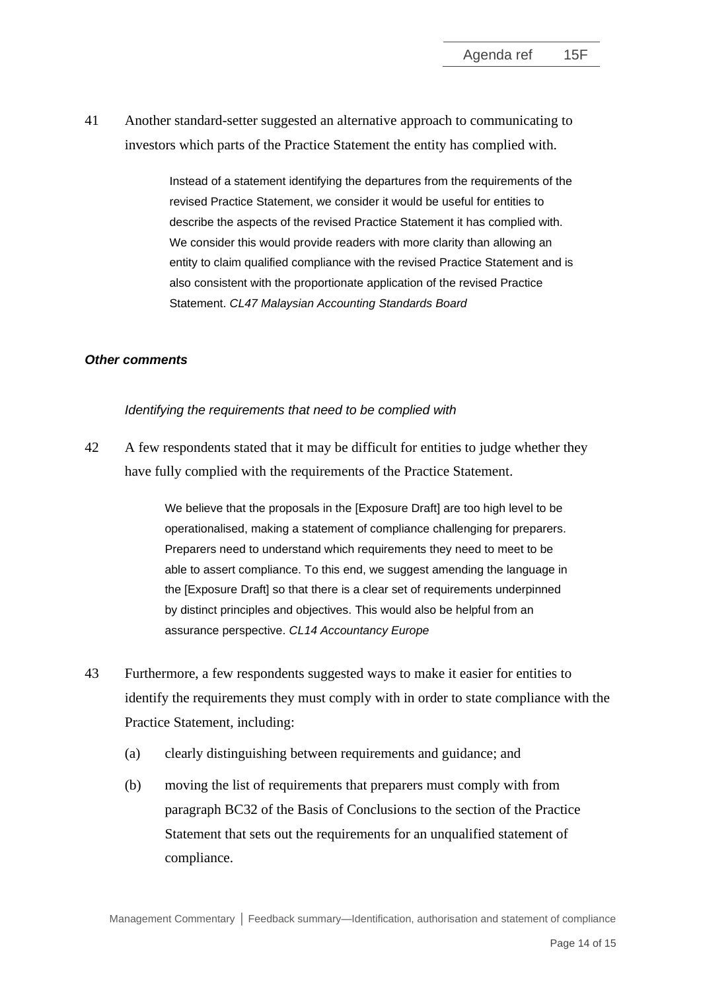41 Another standard-setter suggested an alternative approach to communicating to investors which parts of the Practice Statement the entity has complied with.

> Instead of a statement identifying the departures from the requirements of the revised Practice Statement, we consider it would be useful for entities to describe the aspects of the revised Practice Statement it has complied with. We consider this would provide readers with more clarity than allowing an entity to claim qualified compliance with the revised Practice Statement and is also consistent with the proportionate application of the revised Practice Statement. *CL47 Malaysian Accounting Standards Board*

#### *Other comments*

#### *Identifying the requirements that need to be complied with*

42 A few respondents stated that it may be difficult for entities to judge whether they have fully complied with the requirements of the Practice Statement.

> We believe that the proposals in the [Exposure Draft] are too high level to be operationalised, making a statement of compliance challenging for preparers. Preparers need to understand which requirements they need to meet to be able to assert compliance. To this end, we suggest amending the language in the [Exposure Draft] so that there is a clear set of requirements underpinned by distinct principles and objectives. This would also be helpful from an assurance perspective. *CL14 Accountancy Europe*

- 43 Furthermore, a few respondents suggested ways to make it easier for entities to identify the requirements they must comply with in order to state compliance with the Practice Statement, including:
	- (a) clearly distinguishing between requirements and guidance; and
	- (b) moving the list of requirements that preparers must comply with from paragraph BC32 of the Basis of Conclusions to the section of the Practice Statement that sets out the requirements for an unqualified statement of compliance.